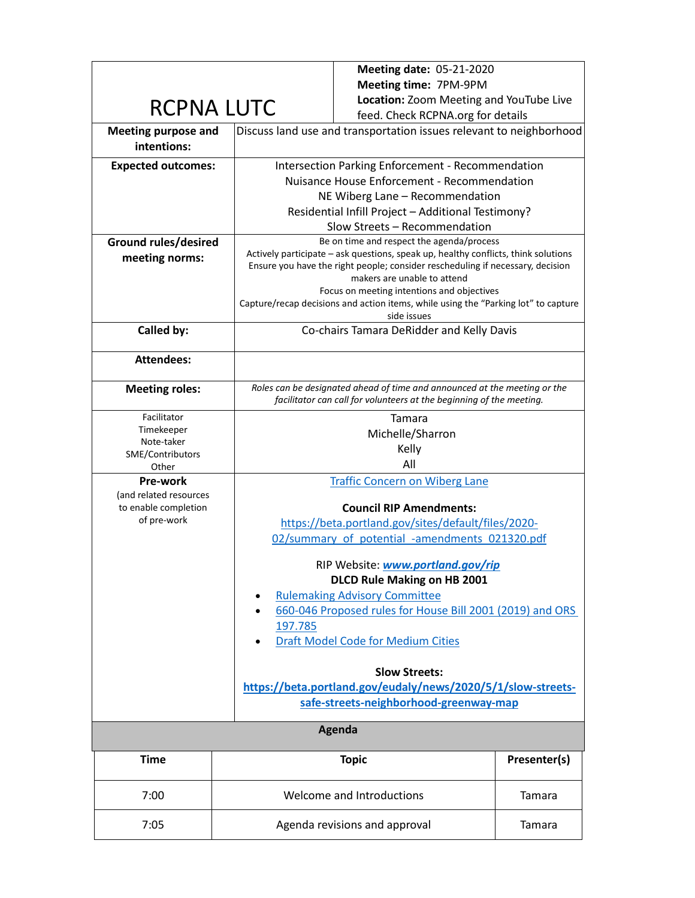|                                           |         | Meeting date: 05-21-2020                                                                                                                          |              |  |  |
|-------------------------------------------|---------|---------------------------------------------------------------------------------------------------------------------------------------------------|--------------|--|--|
|                                           |         | Meeting time: 7PM-9PM                                                                                                                             |              |  |  |
| <b>RCPNA LUTC</b>                         |         | Location: Zoom Meeting and YouTube Live                                                                                                           |              |  |  |
|                                           |         | feed. Check RCPNA.org for details                                                                                                                 |              |  |  |
| <b>Meeting purpose and</b><br>intentions: |         | Discuss land use and transportation issues relevant to neighborhood                                                                               |              |  |  |
| <b>Expected outcomes:</b>                 |         | Intersection Parking Enforcement - Recommendation                                                                                                 |              |  |  |
|                                           |         | Nuisance House Enforcement - Recommendation                                                                                                       |              |  |  |
|                                           |         | NE Wiberg Lane - Recommendation                                                                                                                   |              |  |  |
|                                           |         | Residential Infill Project - Additional Testimony?                                                                                                |              |  |  |
|                                           |         | Slow Streets - Recommendation                                                                                                                     |              |  |  |
| <b>Ground rules/desired</b>               |         | Be on time and respect the agenda/process<br>Actively participate - ask questions, speak up, healthy conflicts, think solutions                   |              |  |  |
| meeting norms:                            |         | Ensure you have the right people; consider rescheduling if necessary, decision                                                                    |              |  |  |
|                                           |         | makers are unable to attend                                                                                                                       |              |  |  |
|                                           |         | Focus on meeting intentions and objectives                                                                                                        |              |  |  |
|                                           |         | Capture/recap decisions and action items, while using the "Parking lot" to capture<br>side issues                                                 |              |  |  |
| Called by:                                |         | Co-chairs Tamara DeRidder and Kelly Davis                                                                                                         |              |  |  |
|                                           |         |                                                                                                                                                   |              |  |  |
| <b>Attendees:</b>                         |         |                                                                                                                                                   |              |  |  |
| <b>Meeting roles:</b>                     |         | Roles can be designated ahead of time and announced at the meeting or the<br>facilitator can call for volunteers at the beginning of the meeting. |              |  |  |
| Facilitator                               | Tamara  |                                                                                                                                                   |              |  |  |
| Timekeeper<br>Note-taker                  |         | Michelle/Sharron                                                                                                                                  |              |  |  |
| SME/Contributors                          |         | Kelly                                                                                                                                             |              |  |  |
| Other                                     |         | All                                                                                                                                               |              |  |  |
| Pre-work                                  |         | <b>Traffic Concern on Wiberg Lane</b>                                                                                                             |              |  |  |
| (and related resources                    |         |                                                                                                                                                   |              |  |  |
| to enable completion<br>of pre-work       |         | <b>Council RIP Amendments:</b>                                                                                                                    |              |  |  |
|                                           |         | https://beta.portland.gov/sites/default/files/2020-                                                                                               |              |  |  |
|                                           |         | 02/summary of potential -amendments 021320.pdf                                                                                                    |              |  |  |
|                                           |         | RIP Website: www.portland.gov/rip                                                                                                                 |              |  |  |
|                                           |         | <b>DLCD Rule Making on HB 2001</b>                                                                                                                |              |  |  |
|                                           |         | <b>Rulemaking Advisory Committee</b>                                                                                                              |              |  |  |
|                                           |         | 660-046 Proposed rules for House Bill 2001 (2019) and ORS                                                                                         |              |  |  |
|                                           | 197.785 |                                                                                                                                                   |              |  |  |
|                                           |         | Draft Model Code for Medium Cities                                                                                                                |              |  |  |
|                                           |         | <b>Slow Streets:</b>                                                                                                                              |              |  |  |
|                                           |         | https://beta.portland.gov/eudaly/news/2020/5/1/slow-streets-                                                                                      |              |  |  |
|                                           |         | safe-streets-neighborhood-greenway-map                                                                                                            |              |  |  |
|                                           |         |                                                                                                                                                   |              |  |  |
|                                           |         | Agenda                                                                                                                                            |              |  |  |
| <b>Time</b>                               |         | <b>Topic</b>                                                                                                                                      | Presenter(s) |  |  |
| 7:00                                      |         | Welcome and Introductions                                                                                                                         | Tamara       |  |  |
| 7:05                                      |         | Agenda revisions and approval                                                                                                                     | Tamara       |  |  |